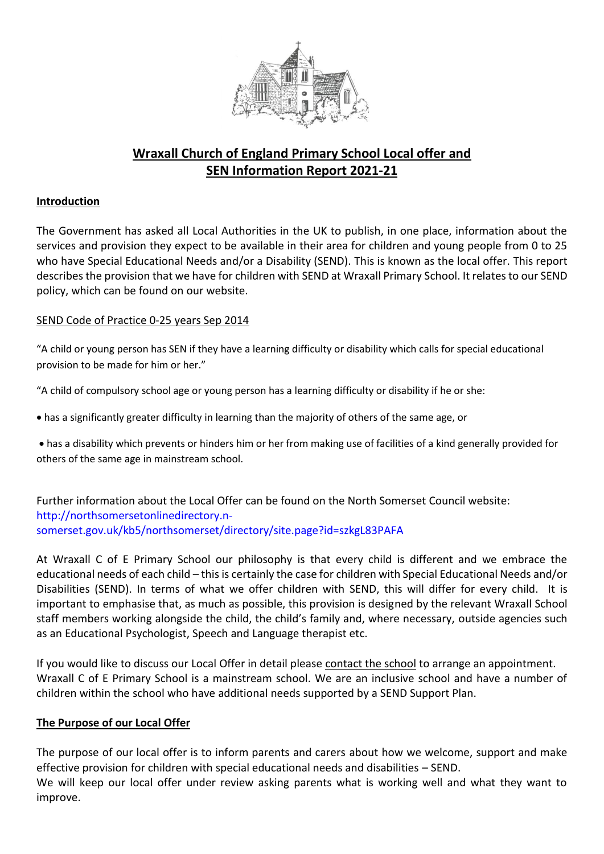

# **Wraxall Church of England Primary School Local offer and SEN Information Report 2021-21**

## **Introduction**

The Government has asked all Local Authorities in the UK to publish, in one place, information about the services and provision they expect to be available in their area for children and young people from 0 to 25 who have Special Educational Needs and/or a Disability (SEND). This is known as the local offer. This report describes the provision that we have for children with SEND at Wraxall Primary School. It relates to our SEND policy, which can be found on our website.

## SEND Code of Practice 0-25 years Sep 2014

"A child or young person has SEN if they have a learning difficulty or disability which calls for special educational provision to be made for him or her."

"A child of compulsory school age or young person has a learning difficulty or disability if he or she:

has a significantly greater difficulty in learning than the majority of others of the same age, or

 has a disability which prevents or hinders him or her from making use of facilities of a kind generally provided for others of the same age in mainstream school.

Further information about the Local Offer can be found on the North Somerset Council website: [http://northsomersetonlinedirectory.n](http://northsomersetonlinedirectory.n-somerset.gov.uk/kb5/northsomerset/directory/site.page?id=szkgL83PAFA)[somerset.gov.uk/kb5/northsomerset/directory/site.page?id=szkgL83PAFA](http://northsomersetonlinedirectory.n-somerset.gov.uk/kb5/northsomerset/directory/site.page?id=szkgL83PAFA)

At Wraxall C of E Primary School our philosophy is that every child is different and we embrace the educational needs of each child – this is certainly the case for children with Special Educational Needs and/or Disabilities (SEND). In terms of what we offer children with SEND, this will differ for every child. It is important to emphasise that, as much as possible, this provision is designed by the relevant Wraxall School staff members working alongside the child, the child's family and, where necessary, outside agencies such as an Educational Psychologist, Speech and Language therapist etc.

If you would like to discuss our Local Offer in detail please [contact the school](http://www.cotherstone.durham.sch.uk/contact/19651) to arrange an appointment. Wraxall C of E Primary School is a mainstream school. We are an inclusive school and have a number of children within the school who have additional needs supported by a SEND Support Plan.

## **The Purpose of our Local Offer**

The purpose of our local offer is to inform parents and carers about how we welcome, support and make effective provision for children with special educational needs and disabilities – SEND. We will keep our local offer under review asking parents what is working well and what they want to improve.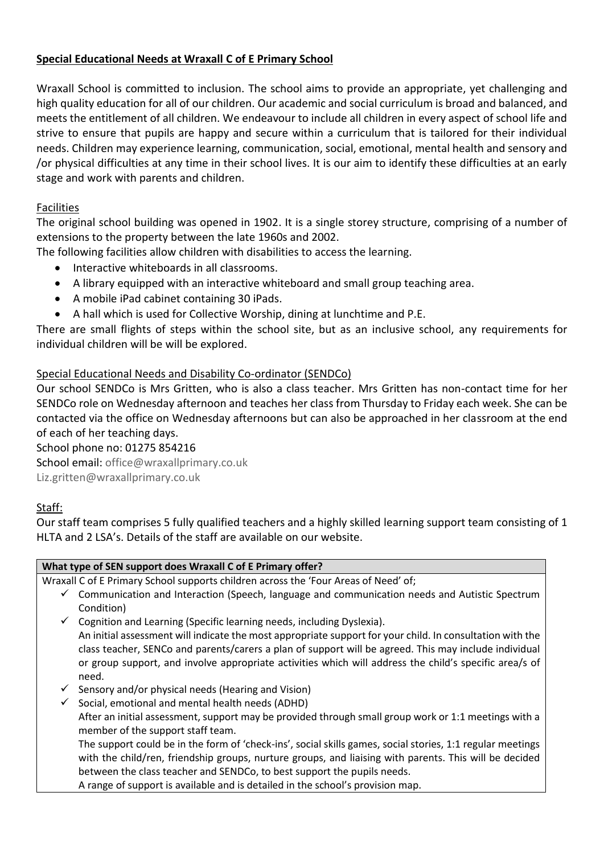# **Special Educational Needs at Wraxall C of E Primary School**

Wraxall School is committed to inclusion. The school aims to provide an appropriate, yet challenging and high quality education for all of our children. Our academic and social curriculum is broad and balanced, and meets the entitlement of all children. We endeavour to include all children in every aspect of school life and strive to ensure that pupils are happy and secure within a curriculum that is tailored for their individual needs. Children may experience learning, communication, social, emotional, mental health and sensory and /or physical difficulties at any time in their school lives. It is our aim to identify these difficulties at an early stage and work with parents and children.

## Facilities

The original school building was opened in 1902. It is a single storey structure, comprising of a number of extensions to the property between the late 1960s and 2002.

The following facilities allow children with disabilities to access the learning.

- Interactive whiteboards in all classrooms.
- A library equipped with an interactive whiteboard and small group teaching area.
- A mobile iPad cabinet containing 30 iPads.
- A hall which is used for Collective Worship, dining at lunchtime and P.E.

There are small flights of steps within the school site, but as an inclusive school, any requirements for individual children will be will be explored.

## Special Educational Needs and Disability Co-ordinator (SENDCo)

Our school SENDCo is Mrs Gritten, who is also a class teacher. Mrs Gritten has non-contact time for her SENDCo role on Wednesday afternoon and teaches her class from Thursday to Friday each week. She can be contacted via the office on Wednesday afternoons but can also be approached in her classroom at the end of each of her teaching days.

School phone no: 01275 854216 School email: [office@wraxallprimary.co.uk](mailto:office@wraxallprimary.co.uk)

Liz.gritten@wraxallprimary.co.uk

# Staff:

Our staff team comprises 5 fully qualified teachers and a highly skilled learning support team consisting of 1 HLTA and 2 LSA's. Details of the staff are available on our website.

| What type of SEN support does Wraxall C of E Primary offer?                                                                                                                                                                                                                                                                           |  |  |  |  |  |
|---------------------------------------------------------------------------------------------------------------------------------------------------------------------------------------------------------------------------------------------------------------------------------------------------------------------------------------|--|--|--|--|--|
| Wraxall C of E Primary School supports children across the 'Four Areas of Need' of;                                                                                                                                                                                                                                                   |  |  |  |  |  |
| Communication and Interaction (Speech, language and communication needs and Autistic Spectrum<br>$\checkmark$<br>Condition)                                                                                                                                                                                                           |  |  |  |  |  |
| Cognition and Learning (Specific learning needs, including Dyslexia).<br>$\checkmark$                                                                                                                                                                                                                                                 |  |  |  |  |  |
| An initial assessment will indicate the most appropriate support for your child. In consultation with the<br>class teacher, SENCo and parents/carers a plan of support will be agreed. This may include individual<br>or group support, and involve appropriate activities which will address the child's specific area/s of<br>need. |  |  |  |  |  |
| Sensory and/or physical needs (Hearing and Vision)<br>$\checkmark$                                                                                                                                                                                                                                                                    |  |  |  |  |  |
| Social, emotional and mental health needs (ADHD)<br>✓                                                                                                                                                                                                                                                                                 |  |  |  |  |  |
| After an initial assessment, support may be provided through small group work or 1:1 meetings with a<br>member of the support staff team.                                                                                                                                                                                             |  |  |  |  |  |
| The support could be in the form of 'check-ins', social skills games, social stories, 1:1 regular meetings                                                                                                                                                                                                                            |  |  |  |  |  |
| with the child/ren, friendship groups, nurture groups, and liaising with parents. This will be decided                                                                                                                                                                                                                                |  |  |  |  |  |
| between the class teacher and SENDCo, to best support the pupils needs.                                                                                                                                                                                                                                                               |  |  |  |  |  |
| A range of support is available and is detailed in the school's provision map.                                                                                                                                                                                                                                                        |  |  |  |  |  |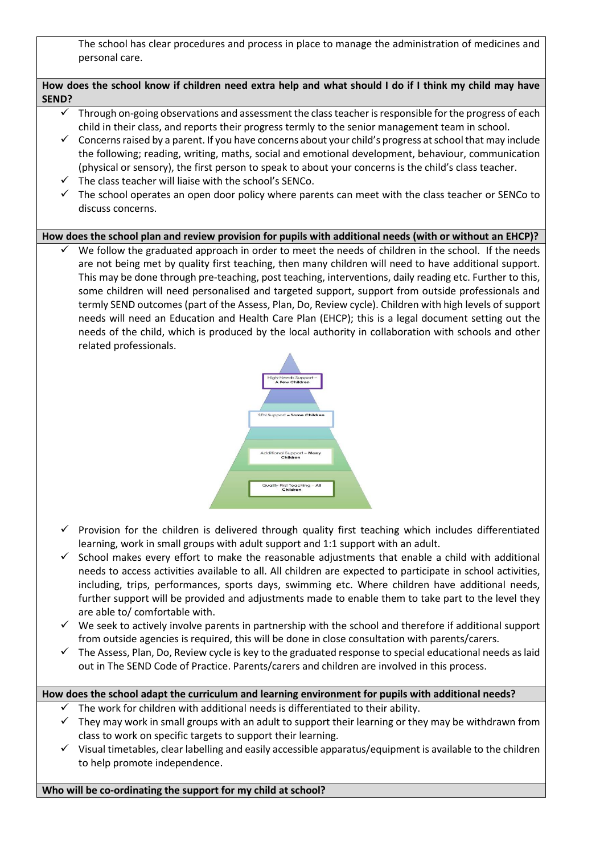The school has clear procedures and process in place to manage the administration of medicines and personal care.

#### **How does the school know if children need extra help and what should I do if I think my child may have SEND?**

- Through on-going observations and assessment the class teacher is responsible for the progress of each child in their class, and reports their progress termly to the senior management team in school.
- $\checkmark$  Concerns raised by a parent. If you have concerns about your child's progress at school that may include the following; reading, writing, maths, social and emotional development, behaviour, communication (physical or sensory), the first person to speak to about your concerns is the child's class teacher.
- $\checkmark$  The class teacher will liaise with the school's SENCo.
- $\checkmark$  The school operates an open door policy where parents can meet with the class teacher or SENCo to discuss concerns.

#### **How does the school plan and review provision for pupils with additional needs (with or without an EHCP)?**

 $\checkmark$  We follow the graduated approach in order to meet the needs of children in the school. If the needs are not being met by quality first teaching, then many children will need to have additional support. This may be done through pre-teaching, post teaching, interventions, daily reading etc. Further to this, some children will need personalised and targeted support, support from outside professionals and termly SEND outcomes (part of the Assess, Plan, Do, Review cycle). Children with high levels of support needs will need an Education and Health Care Plan (EHCP); this is a legal document setting out the needs of the child, which is produced by the local authority in collaboration with schools and other related professionals.



- $\checkmark$  Provision for the children is delivered through quality first teaching which includes differentiated learning, work in small groups with adult support and 1:1 support with an adult.
- $\checkmark$  School makes every effort to make the reasonable adjustments that enable a child with additional needs to access activities available to all. All children are expected to participate in school activities, including, trips, performances, sports days, swimming etc. Where children have additional needs, further support will be provided and adjustments made to enable them to take part to the level they are able to/ comfortable with.
- $\checkmark$  We seek to actively involve parents in partnership with the school and therefore if additional support from outside agencies is required, this will be done in close consultation with parents/carers.
- $\checkmark$  The Assess, Plan, Do, Review cycle is key to the graduated response to special educational needs as laid out in The SEND Code of Practice. Parents/carers and children are involved in this process.

# **How does the school adapt the curriculum and learning environment for pupils with additional needs?**

- The work for children with additional needs is differentiated to their ability.
- $\checkmark$  They may work in small groups with an adult to support their learning or they may be withdrawn from class to work on specific targets to support their learning.
- $\checkmark$  Visual timetables, clear labelling and easily accessible apparatus/equipment is available to the children to help promote independence.

**Who will be co-ordinating the support for my child at school?**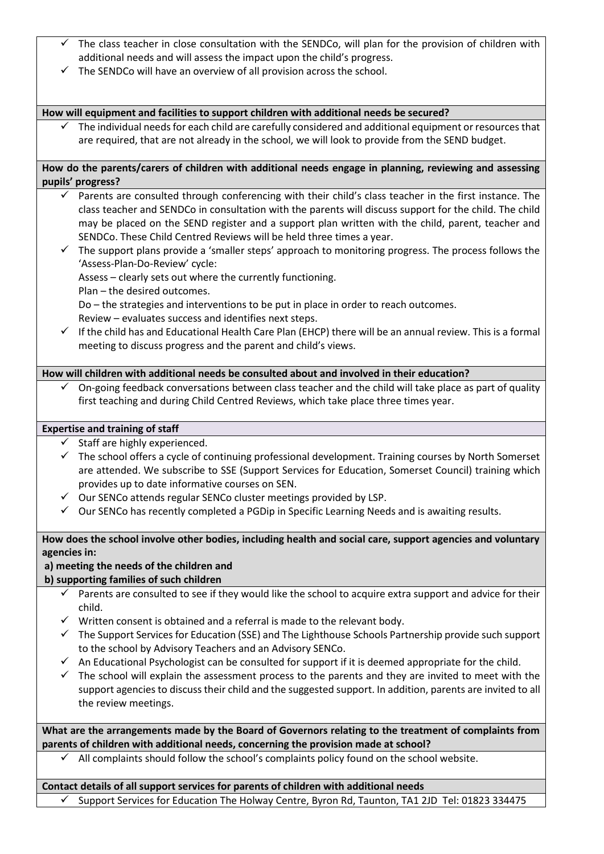- The class teacher in close consultation with the SENDCo, will plan for the provision of children with additional needs and will assess the impact upon the child's progress.
- $\checkmark$  The SENDCo will have an overview of all provision across the school.

#### **How will equipment and facilities to support children with additional needs be secured?**

 The individual needs for each child are carefully considered and additional equipment or resources that are required, that are not already in the school, we will look to provide from the SEND budget.

#### **How do the parents/carers of children with additional needs engage in planning, reviewing and assessing pupils' progress?**

- $\checkmark$  Parents are consulted through conferencing with their child's class teacher in the first instance. The class teacher and SENDCo in consultation with the parents will discuss support for the child. The child may be placed on the SEND register and a support plan written with the child, parent, teacher and SENDCo. These Child Centred Reviews will be held three times a year.
- $\checkmark$  The support plans provide a 'smaller steps' approach to monitoring progress. The process follows the 'Assess-Plan-Do-Review' cycle:

Assess – clearly sets out where the currently functioning.

Plan – the desired outcomes.

Do – the strategies and interventions to be put in place in order to reach outcomes.

- Review evaluates success and identifies next steps.
- $\checkmark$  If the child has and Educational Health Care Plan (EHCP) there will be an annual review. This is a formal meeting to discuss progress and the parent and child's views.

#### **How will children with additional needs be consulted about and involved in their education?**

 On-going feedback conversations between class teacher and the child will take place as part of quality first teaching and during Child Centred Reviews, which take place three times year.

#### **Expertise and training of staff**

- $\checkmark$  Staff are highly experienced.
- $\checkmark$  The school offers a cycle of continuing professional development. Training courses by North Somerset are attended. We subscribe to SSE (Support Services for Education, Somerset Council) training which provides up to date informative courses on SEN.
- $\checkmark$  Our SENCo attends regular SENCo cluster meetings provided by LSP.
- $\checkmark$  Our SENCo has recently completed a PGDip in Specific Learning Needs and is awaiting results.

#### **How does the school involve other bodies, including health and social care, support agencies and voluntary agencies in:**

## **a) meeting the needs of the children and**

**b) supporting families of such children** 

- $\checkmark$  Parents are consulted to see if they would like the school to acquire extra support and advice for their child.
- $\checkmark$  Written consent is obtained and a referral is made to the relevant body.
- $\checkmark$  The Support Services for Education (SSE) and The Lighthouse Schools Partnership provide such support to the school by Advisory Teachers and an Advisory SENCo.
- $\checkmark$  An Educational Psychologist can be consulted for support if it is deemed appropriate for the child.
- $\checkmark$  The school will explain the assessment process to the parents and they are invited to meet with the support agencies to discuss their child and the suggested support. In addition, parents are invited to all the review meetings.

**What are the arrangements made by the Board of Governors relating to the treatment of complaints from parents of children with additional needs, concerning the provision made at school?** 

 $\checkmark$  All complaints should follow the school's complaints policy found on the school website.

#### **Contact details of all support services for parents of children with additional needs**

 $\checkmark$  Support Services for Education The Holway Centre, Byron Rd, Taunton, TA1 2JD Tel: 01823 334475